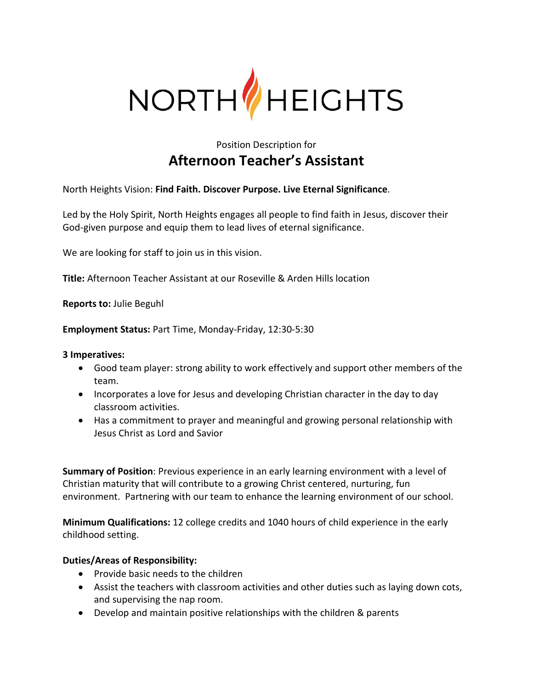

## Position Description for **Afternoon Teacher's Assistant**

North Heights Vision: **Find Faith. Discover Purpose. Live Eternal Significance**.

Led by the Holy Spirit, North Heights engages all people to find faith in Jesus, discover their God-given purpose and equip them to lead lives of eternal significance.

We are looking for staff to join us in this vision.

**Title:** Afternoon Teacher Assistant at our Roseville & Arden Hills location

**Reports to:** Julie Beguhl

**Employment Status:** Part Time, Monday-Friday, 12:30-5:30

**3 Imperatives:**

- Good team player: strong ability to work effectively and support other members of the team.
- Incorporates a love for Jesus and developing Christian character in the day to day classroom activities.
- Has a commitment to prayer and meaningful and growing personal relationship with Jesus Christ as Lord and Savior

**Summary of Position**: Previous experience in an early learning environment with a level of Christian maturity that will contribute to a growing Christ centered, nurturing, fun environment. Partnering with our team to enhance the learning environment of our school.

**Minimum Qualifications:** 12 college credits and 1040 hours of child experience in the early childhood setting.

## **Duties/Areas of Responsibility:**

- Provide basic needs to the children
- Assist the teachers with classroom activities and other duties such as laying down cots, and supervising the nap room.
- Develop and maintain positive relationships with the children & parents